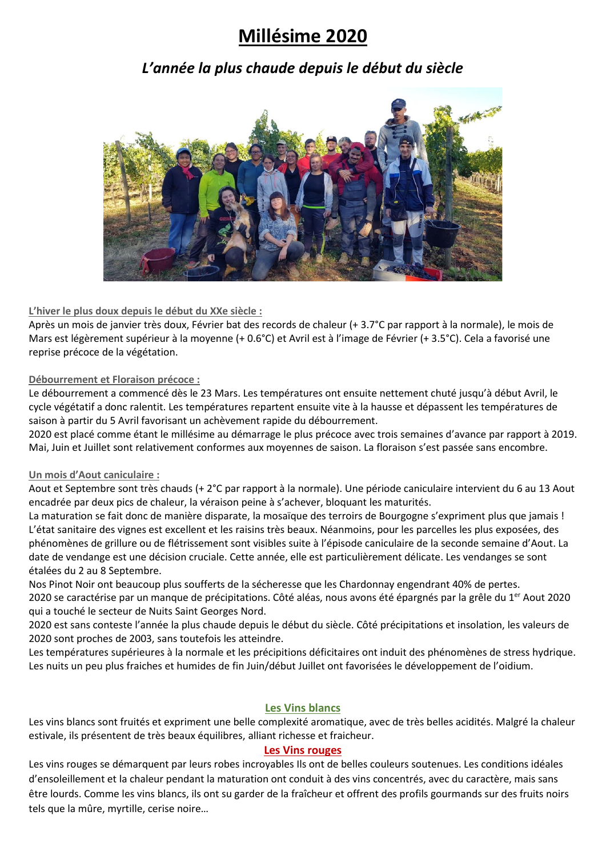## **Millésime 2020**

### *L'année la plus chaude depuis le début du siècle*



### **L'hiver le plus doux depuis le début du XXe siècle :**

Après un mois de janvier très doux, Février bat des records de chaleur (+ 3.7°C par rapport à la normale), le mois de Mars est légèrement supérieur à la moyenne (+ 0.6°C) et Avril est à l'image de Février (+ 3.5°C). Cela a favorisé une reprise précoce de la végétation.

### **Débourrement et Floraison précoce :**

Le débourrement a commencé dès le 23 Mars. Les températures ont ensuite nettement chuté jusqu'à début Avril, le cycle végétatif a donc ralentit. Les températures repartent ensuite vite à la hausse et dépassent les températures de saison à partir du 5 Avril favorisant un achèvement rapide du débourrement.

2020 est placé comme étant le millésime au démarrage le plus précoce avec trois semaines d'avance par rapport à 2019. Mai, Juin et Juillet sont relativement conformes aux moyennes de saison. La floraison s'est passée sans encombre.

### **Un mois d'Aout caniculaire :**

Aout et Septembre sont très chauds (+ 2°C par rapport à la normale). Une période caniculaire intervient du 6 au 13 Aout encadrée par deux pics de chaleur, la véraison peine à s'achever, bloquant les maturités.

La maturation se fait donc de manière disparate, la mosaïque des terroirs de Bourgogne s'expriment plus que jamais ! L'état sanitaire des vignes est excellent et les raisins très beaux. Néanmoins, pour les parcelles les plus exposées, des phénomènes de grillure ou de flétrissement sont visibles suite à l'épisode caniculaire de la seconde semaine d'Aout. La date de vendange est une décision cruciale. Cette année, elle est particulièrement délicate. Les vendanges se sont étalées du 2 au 8 Septembre.

Nos Pinot Noir ont beaucoup plus soufferts de la sécheresse que les Chardonnay engendrant 40% de pertes.

2020 se caractérise par un manque de précipitations. Côté aléas, nous avons été épargnés par la grêle du 1<sup>er</sup> Aout 2020 qui a touché le secteur de Nuits Saint Georges Nord.

2020 est sans conteste l'année la plus chaude depuis le début du siècle. Côté précipitations et insolation, les valeurs de 2020 sont proches de 2003, sans toutefois les atteindre.

Les températures supérieures à la normale et les précipitions déficitaires ont induit des phénomènes de stress hydrique. Les nuits un peu plus fraiches et humides de fin Juin/début Juillet ont favorisées le développement de l'oidium.

### **Les Vins blancs**

Les vins blancs sont fruités et expriment une belle complexité aromatique, avec de très belles acidités. Malgré la chaleur estivale, ils présentent de très beaux équilibres, alliant richesse et fraicheur.

### **Les Vins rouges**

Les vins rouges se démarquent par leurs robes incroyables Ils ont de belles couleurs soutenues. Les conditions idéales d'ensoleillement et la chaleur pendant la maturation ont conduit à des vins concentrés, avec du caractère, mais sans être lourds. Comme les vins blancs, ils ont su garder de la fraîcheur et offrent des profils gourmands sur des fruits noirs tels que la mûre, myrtille, cerise noire…